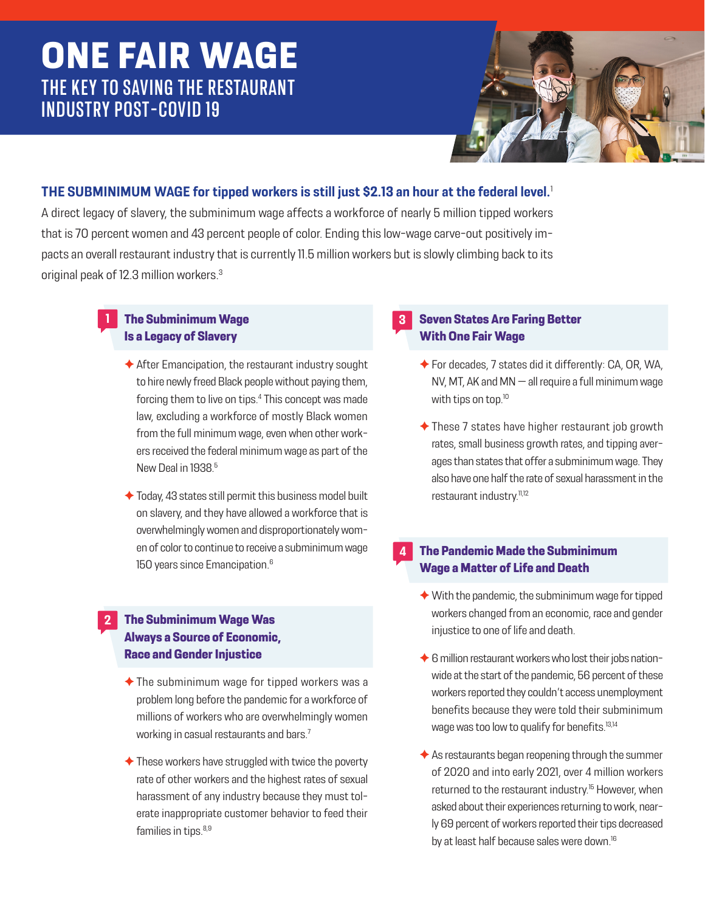# **ONE FAIR WAGE THE KEY TO SAVING THE RESTAURANT INDUSTRY POST-COVID 19**



## **THE SUBMINIMUM WAGE for tipped workers is still just \$2.13 an hour at the federal level.**<sup>1</sup>

A direct legacy of slavery, the subminimum wage affects a workforce of nearly 5 million tipped workers that is 70 percent women and 43 percent people of color. Ending this low-wage carve-out positively impacts an overall restaurant industry that is currently 11.5 million workers but is slowly climbing back to its original peak of 12.3 million workers.3

#### **The Subminimum Wage Is a Legacy of Slavery**

**1**

**2**

- ✦ After Emancipation, the restaurant industry sought to hire newly freed Black people without paying them, forcing them to live on tips.<sup>4</sup> This concept was made law, excluding a workforce of mostly Black women from the full minimum wage, even when other workers received the federal minimum wage as part of the New Deal in 1938.<sup>5</sup>
- $\triangle$  Today, 43 states still permit this business model built on slavery, and they have allowed a workforce that is overwhelmingly women and disproportionately women of color to continue to receive a subminimum wage 150 years since Emancipation.<sup>6</sup>

### **The Subminimum Wage Was Always a Source of Economic, Race and Gender Injustice**

- $\triangle$  The subminimum wage for tipped workers was a problem long before the pandemic for a workforce of millions of workers who are overwhelmingly women working in casual restaurants and bars.<sup>7</sup>
- $\triangle$  These workers have struggled with twice the poverty rate of other workers and the highest rates of sexual harassment of any industry because they must tolerate inappropriate customer behavior to feed their families in tips.<sup>8,9</sup>

#### **Seven States Are Faring Better With One Fair Wage**

**3**

**4**

- ✦ For decades, 7 states did it differently: CA, OR, WA, NV, MT, AK and MN — all require a full minimum wage with tips on top.<sup>10</sup>
- ✦ These 7 states have higher restaurant job growth rates, small business growth rates, and tipping averages than states that offer a subminimum wage. They also have one half the rate of sexual harassment in the restaurant industry.<sup>11,12</sup>

## **The Pandemic Made the Subminimum Wage a Matter of Life and Death**

- $\blacklozenge$  With the pandemic, the subminimum wage for tipped workers changed from an economic, race and gender injustice to one of life and death.
- ◆ 6 million restaurant workers who lost their jobs nationwide at the start of the pandemic, 56 percent of these workers reported they couldn't access unemployment benefits because they were told their subminimum wage was too low to qualify for benefits.<sup>13,14</sup>
- $\triangle$  As restaurants began reopening through the summer of 2020 and into early 2021, over 4 million workers returned to the restaurant industry.<sup>15</sup> However, when asked about their experiences returning to work, nearly 69 percent of workers reported their tips decreased by at least half because sales were down.<sup>16</sup>